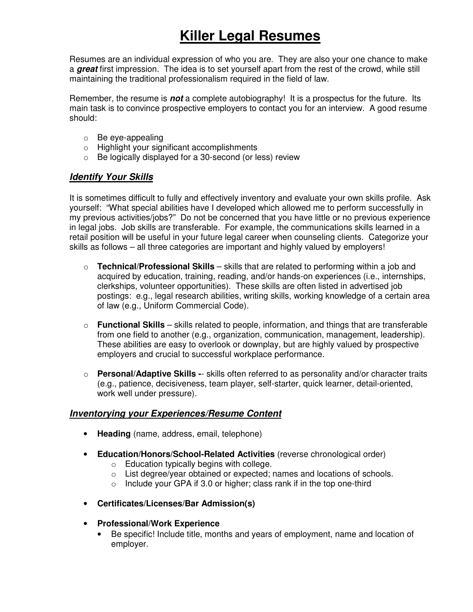# **Killer Legal Resumes**

Resumes are an individual expression of who you are. They are also your one chance to make a *great* first impression. The idea is to set yourself apart from the rest of the crowd, while still maintaining the traditional professionalism required in the field of law.

Remember, the resume is *not* a complete autobiography! It is a prospectus for the future. Its main task is to convince prospective employers to contact you for an interview. A good resume should:

- o Be eye-appealing
- o Highlight your significant accomplishments
- o Be logically displayed for a 30-second (or less) review

## *Identify Your Skills*

It is sometimes difficult to fully and effectively inventory and evaluate your own skills profile. Ask yourself: "What special abilities have I developed which allowed me to perform successfully in my previous activities/jobs?" Do not be concerned that you have little or no previous experience in legal jobs. Job skills are transferable. For example, the communications skills learned in a retail position will be useful in your future legal career when counseling clients. Categorize your skills as follows – all three categories are important and highly valued by employers!

- o **Technical/Professional Skills** skills that are related to performing within a job and acquired by education, training, reading, and/or hands-on experiences (i.e., internships, clerkships, volunteer opportunities). These skills are often listed in advertised job postings: e.g., legal research abilities, writing skills, working knowledge of a certain area of law (e.g., Uniform Commercial Code).
- o **Functional Skills** skills related to people, information, and things that are transferable from one field to another (e.g., organization, communication, management, leadership). These abilities are easy to overlook or downplay, but are highly valued by prospective employers and crucial to successful workplace performance.
- o **Personal/Adaptive Skills -** skills often referred to as personality and/or character traits (e.g., patience, decisiveness, team player, self-starter, quick learner, detail-oriented, work well under pressure).

#### *Inventorying your Experiences/Resume Content*

- **Heading** (name, address, email, telephone)
- **Education/Honors/School-Related Activities** (reverse chronological order)
	- $\circ$  Education typically begins with college.
	- o List degree/year obtained or expected; names and locations of schools.
	- $\circ$  Include your GPA if 3.0 or higher; class rank if in the top one-third
- **Certificates/Licenses/Bar Admission(s)**
- **Professional/Work Experience**
	- Be specific! Include title, months and years of employment, name and location of employer.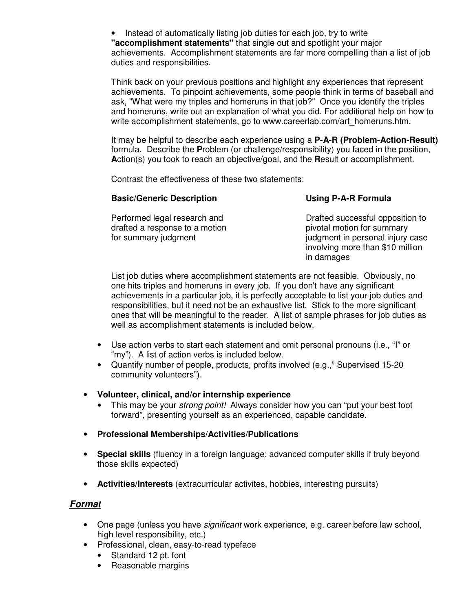• Instead of automatically listing job duties for each job, try to write **"accomplishment statements"** that single out and spotlight your major achievements. Accomplishment statements are far more compelling than a list of job duties and responsibilities.

Think back on your previous positions and highlight any experiences that represent achievements. To pinpoint achievements, some people think in terms of baseball and ask, "What were my triples and homeruns in that job?" Once you identify the triples and homeruns, write out an explanation of what you did. For additional help on how to write accomplishment statements, go to www.careerlab.com/art\_homeruns.htm.

It may be helpful to describe each experience using a **P-A-R (Problem-Action-Result)** formula. Describe the **P**roblem (or challenge/responsibility) you faced in the position, **A**ction(s) you took to reach an objective/goal, and the **R**esult or accomplishment.

Contrast the effectiveness of these two statements:

#### **Basic/Generic Description**

#### **Using P-A-R Formula**

Performed legal research and drafted a response to a motion for summary judgment Drafted successful opposition to pivotal motion for summary judgment in personal injury case involving more than \$10 million in damages

List job duties where accomplishment statements are not feasible. Obviously, no one hits triples and homeruns in every job. If you don't have any significant achievements in a particular job, it is perfectly acceptable to list your job duties and responsibilities, but it need not be an exhaustive list. Stick to the more significant ones that will be meaningful to the reader. A list of sample phrases for job duties as well as accomplishment statements is included below.

- Use action verbs to start each statement and omit personal pronouns (i.e., "I" or "my"). A list of action verbs is included below.
- Quantify number of people, products, profits involved (e.g.," Supervised 15-20 community volunteers").
- **Volunteer, clinical, and/or internship experience**
	- This may be your *strong point!* Always consider how you can "put your best foot forward", presenting yourself as an experienced, capable candidate.
- **Professional Memberships/Activities/Publications**
- **Special skills** (fluency in a foreign language; advanced computer skills if truly beyond those skills expected)
- **Activities/Interests** (extracurricular activites, hobbies, interesting pursuits)

#### *Format*

- One page (unless you have *significant* work experience, e.g. career before law school, high level responsibility, etc.)
- Professional, clean, easy-to-read typeface
	- Standard 12 pt. font
	- Reasonable margins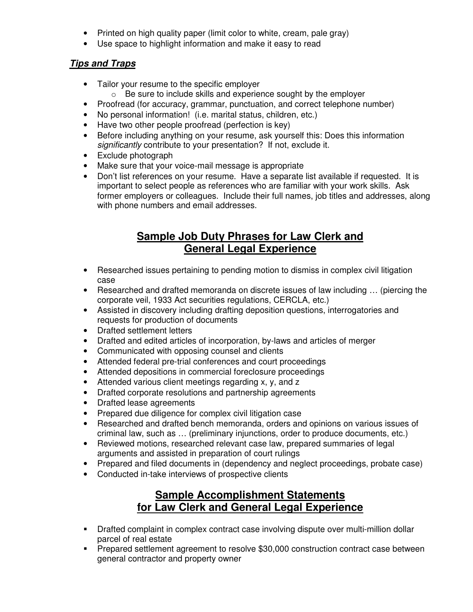- Printed on high quality paper (limit color to white, cream, pale gray)
- Use space to highlight information and make it easy to read

## *Tips and Traps*

- Tailor your resume to the specific employer
	- $\circ$  Be sure to include skills and experience sought by the employer
- Proofread (for accuracy, grammar, punctuation, and correct telephone number)
- No personal information! (i.e. marital status, children, etc.)
- Have two other people proofread (perfection is key)
- Before including anything on your resume, ask yourself this: Does this information *significantly* contribute to your presentation? If not, exclude it.
- Exclude photograph
- Make sure that your voice-mail message is appropriate
- Don't list references on your resume. Have a separate list available if requested. It is important to select people as references who are familiar with your work skills. Ask former employers or colleagues. Include their full names, job titles and addresses, along with phone numbers and email addresses.

# **Sample Job Duty Phrases for Law Clerk and General Legal Experience**

- Researched issues pertaining to pending motion to dismiss in complex civil litigation case
- Researched and drafted memoranda on discrete issues of law including … (piercing the corporate veil, 1933 Act securities regulations, CERCLA, etc.)
- Assisted in discovery including drafting deposition questions, interrogatories and requests for production of documents
- Drafted settlement letters
- Drafted and edited articles of incorporation, by-laws and articles of merger
- Communicated with opposing counsel and clients
- Attended federal pre-trial conferences and court proceedings
- Attended depositions in commercial foreclosure proceedings
- Attended various client meetings regarding x, y, and z
- Drafted corporate resolutions and partnership agreements
- Drafted lease agreements
- Prepared due diligence for complex civil litigation case
- Researched and drafted bench memoranda, orders and opinions on various issues of criminal law, such as … (preliminary injunctions, order to produce documents, etc.)
- Reviewed motions, researched relevant case law, prepared summaries of legal arguments and assisted in preparation of court rulings
- Prepared and filed documents in (dependency and neglect proceedings, probate case)
- Conducted in-take interviews of prospective clients

## **Sample Accomplishment Statements for Law Clerk and General Legal Experience**

- Drafted complaint in complex contract case involving dispute over multi-million dollar parcel of real estate
- Prepared settlement agreement to resolve \$30,000 construction contract case between general contractor and property owner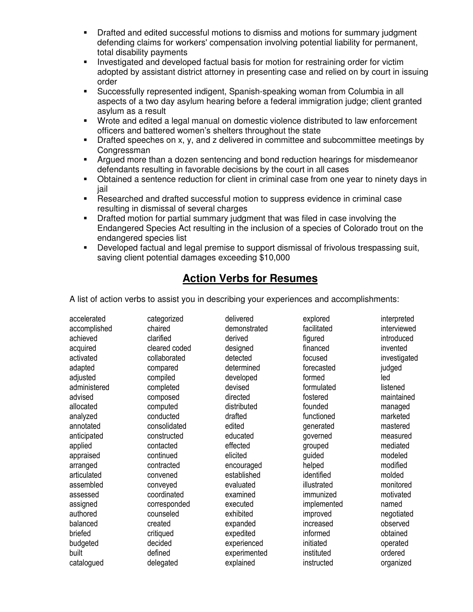- Drafted and edited successful motions to dismiss and motions for summary judgment defending claims for workers' compensation involving potential liability for permanent, total disability payments
- **Investigated and developed factual basis for motion for restraining order for victim** adopted by assistant district attorney in presenting case and relied on by court in issuing order
- Successfully represented indigent, Spanish-speaking woman from Columbia in all aspects of a two day asylum hearing before a federal immigration judge; client granted asylum as a result
- Wrote and edited a legal manual on domestic violence distributed to law enforcement officers and battered women's shelters throughout the state
- Drafted speeches on x, y, and z delivered in committee and subcommittee meetings by Congressman
- Argued more than a dozen sentencing and bond reduction hearings for misdemeanor defendants resulting in favorable decisions by the court in all cases
- Obtained a sentence reduction for client in criminal case from one year to ninety days in jail
- Researched and drafted successful motion to suppress evidence in criminal case resulting in dismissal of several charges
- Drafted motion for partial summary judgment that was filed in case involving the Endangered Species Act resulting in the inclusion of a species of Colorado trout on the endangered species list
- Developed factual and legal premise to support dismissal of frivolous trespassing suit, saving client potential damages exceeding \$10,000

# **Action Verbs for Resumes**

A list of action verbs to assist you in describing your experiences and accomplishments:

| categorized   | delivered    | explored    | interpreted  |
|---------------|--------------|-------------|--------------|
| chaired       | demonstrated | facilitated | interviewed  |
| clarified     | derived      | figured     | introduced   |
| cleared coded | designed     | financed    | invented     |
| collaborated  | detected     | focused     | investigated |
| compared      | determined   | forecasted  | judged       |
| compiled      | developed    | formed      | led          |
| completed     | devised      | formulated  | listened     |
| composed      | directed     | fostered    | maintained   |
| computed      | distributed  | founded     | managed      |
| conducted     | drafted      | functioned  | marketed     |
| consolidated  | edited       | generated   | mastered     |
| constructed   | educated     | governed    | measured     |
| contacted     | effected     | grouped     | mediated     |
| continued     | elicited     | guided      | modeled      |
| contracted    | encouraged   | helped      | modified     |
| convened      | established  | identified  | molded       |
| conveyed      | evaluated    | illustrated | monitored    |
| coordinated   | examined     | immunized   | motivated    |
| corresponded  | executed     | implemented | named        |
| counseled     | exhibited    | improved    | negotiated   |
| created       | expanded     | increased   | observed     |
| critiqued     | expedited    | informed    | obtained     |
| decided       | experienced  | initiated   | operated     |
| defined       | experimented | instituted  | ordered      |
| delegated     | explained    | instructed  | organized    |
|               |              |             |              |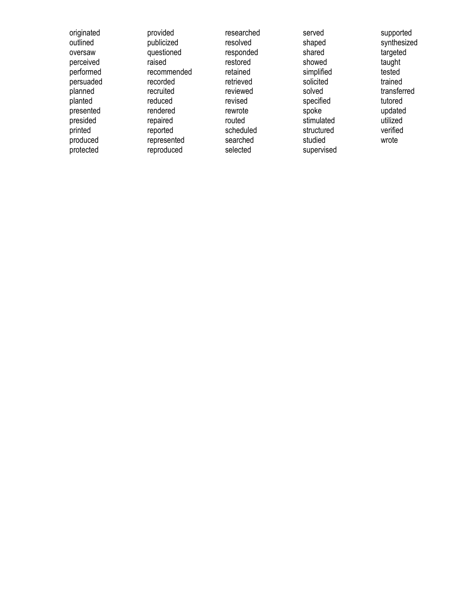originated outlined oversaw perceived performed persuaded planned planted presented presided printed produced protected

provided publicized questioned raised recommended recorded recruited reduced rendered repaired reported represented reproduced

researched resolved responded restored retained retrieved reviewed revised rewrote routed scheduled searched selected

served shaped shared showed simplified solicited solved specified spoke stimulated structured studied supervised

supported synthesized targeted taught tested trained transferred tutored updated utilized verified wrote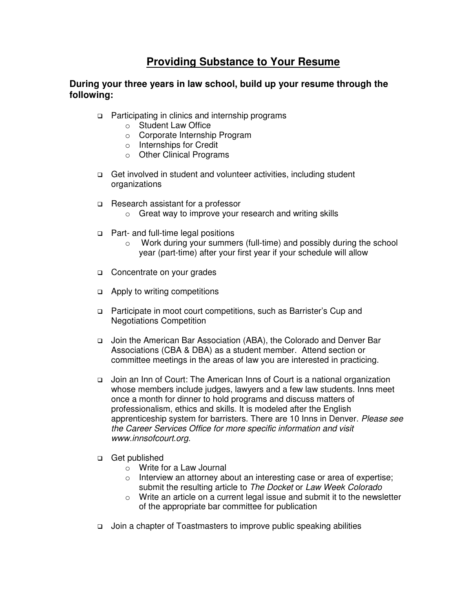## **Providing Substance to Your Resume**

#### **During your three years in law school, build up your resume through the following:**

- □ Participating in clinics and internship programs
	- o Student Law Office
	- o Corporate Internship Program
	- o Internships for Credit
	- o Other Clinical Programs
- □ Get involved in student and volunteer activities, including student organizations
- □ Research assistant for a professor
	- o Great way to improve your research and writing skills
- □ Part- and full-time legal positions
	- o Work during your summers (full-time) and possibly during the school year (part-time) after your first year if your schedule will allow
- □ Concentrate on your grades
- □ Apply to writing competitions
- □ Participate in moot court competitions, such as Barrister's Cup and Negotiations Competition
- □ Join the American Bar Association (ABA), the Colorado and Denver Bar Associations (CBA & DBA) as a student member. Attend section or committee meetings in the areas of law you are interested in practicing.
- □ Join an Inn of Court: The American Inns of Court is a national organization whose members include judges, lawyers and a few law students. Inns meet once a month for dinner to hold programs and discuss matters of professionalism, ethics and skills. It is modeled after the English apprenticeship system for barristers. There are 10 Inns in Denver. *Please see the Career Services Office for more specific information and visit www.innsofcourt.org.*
- □ Get published
	- o Write for a Law Journal
	- o Interview an attorney about an interesting case or area of expertise; submit the resulting article to *The Docket* or *Law Week Colorado*
	- o Write an article on a current legal issue and submit it to the newsletter of the appropriate bar committee for publication
- □ Join a chapter of Toastmasters to improve public speaking abilities